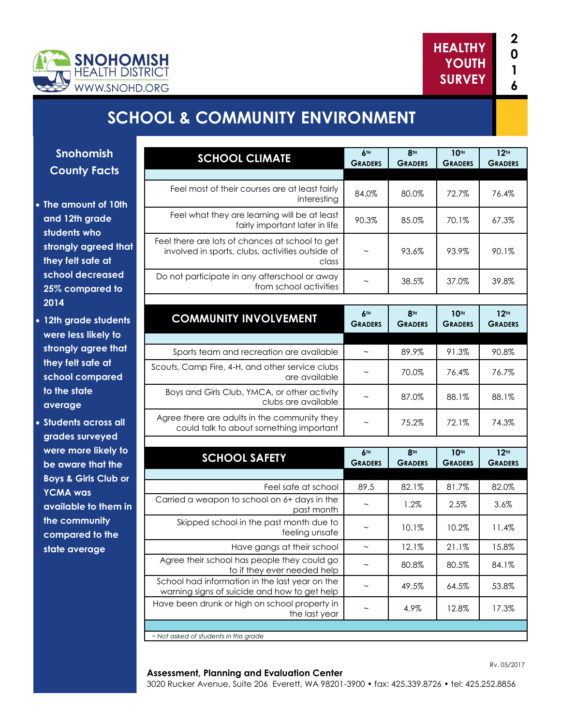



# **SCHOOL & COMMUNITY ENVIRONMENT**

**Snohomish County Facts**

- **The amount of 10th and 12th grade students who strongly agreed that they felt safe at school decreased 25% compared to 2014**
- **12th grade students were less likely to strongly agree that they felt safe at school compared to the state average**

 **Students across all grades surveyed were more likely to be aware that the Boys & Girls Club or YCMA was available to them in the community compared to the state average**

| <b>SCHOOL CLIMATE</b>                                                                                        | <b>6TH</b><br><b>GRADERS</b> | <b>8TH</b><br><b>GRADERS</b> | <b>10TH</b><br><b>GRADERS</b> | 12 <sup>TH</sup><br><b>GRADERS</b> |
|--------------------------------------------------------------------------------------------------------------|------------------------------|------------------------------|-------------------------------|------------------------------------|
|                                                                                                              |                              |                              |                               |                                    |
| Feel most of their courses are at least fairly<br>interestina                                                | 84.0%                        | 80.0%                        | 72.7%                         | 76.4%                              |
| Feel what they are learning will be at least<br>fairly important later in life                               | 90.3%                        | 85.0%                        | 70.1%                         | 67.3%                              |
| Feel there are lots of chances at school to get<br>involved in sports, clubs, activities outside of<br>class |                              | 93.6%                        | 93.9%                         | 90.1%                              |
| Do not participate in any afterschool or away<br>from school activities                                      | $\tilde{\phantom{a}}$        | 38.5%                        | 37.0%                         | 39.8%                              |
|                                                                                                              |                              |                              |                               |                                    |
| <b>COMMUNITY INVOLVEMENT</b>                                                                                 | 6TH<br><b>GRADERS</b>        | <b>8TH</b><br><b>GRADERS</b> | <b>10TH</b><br><b>GRADERS</b> | 12 <sup>TH</sup><br><b>GRADERS</b> |
| Sports team and recreation are available                                                                     | $\tilde{\phantom{a}}$        | 89.9%                        | 91.3%                         | 90.8%                              |
| Scouts, Camp Fire, 4-H, and other service clubs<br>are available                                             |                              | 70.0%                        | 76.4%                         | 76.7%                              |
| Boys and Girls Club, YMCA, or other activity<br>clubs are available                                          |                              | 87.0%                        | 88.1%                         | 88.1%                              |
| Agree there are adults in the community they<br>could talk to about something important                      | $\tilde{}$                   | 75.2%                        | 72.1%                         | 74.3%                              |
|                                                                                                              | <b>6TH</b>                   | <b>8TH</b>                   | <b>10TH</b>                   | 12 <sup>TH</sup>                   |
| <b>SCHOOL SAFETY</b>                                                                                         | <b>GRADERS</b>               | <b>GRADERS</b>               | <b>GRADERS</b>                | <b>GRADERS</b>                     |
| Feel safe at school                                                                                          | 89.5                         | 82.1%                        | 81.7%                         | 82.0%                              |
| Carried a weapon to school on 6+ days in the<br>past month                                                   |                              | 1.2%                         | 2.5%                          | 3.6%                               |
| Skipped school in the past month due to<br>feeling unsafe                                                    |                              | 10.1%                        | 10.2%                         | 11.4%                              |
| Have gangs at their school                                                                                   | $\thicksim$                  | 12.1%                        | 21.1%                         | 15.8%                              |
| Agree their school has people they could go<br>to if they ever needed help                                   |                              | 80.8%                        | 80.5%                         | 84.1%                              |
| School had information in the last year on the<br>warning signs of suicide and how to get help               | $\tilde{\phantom{a}}$        | 49.5%                        | 64.5%                         | 53.8%                              |
| Have been drunk or high on school property in<br>the last year                                               | $\tilde{\phantom{a}}$        | 4.9%                         | 12.8%                         | 17.3%                              |
|                                                                                                              |                              |                              |                               |                                    |
| - Not asked of students in this grade                                                                        |                              |                              |                               |                                    |

#### **Assessment, Planning and Evaluation Center**

3020 Rucker Avenue, Suite 206 Everett, WA 98201-3900 • fax: 425.339.8726 • tel: 425.252.8856